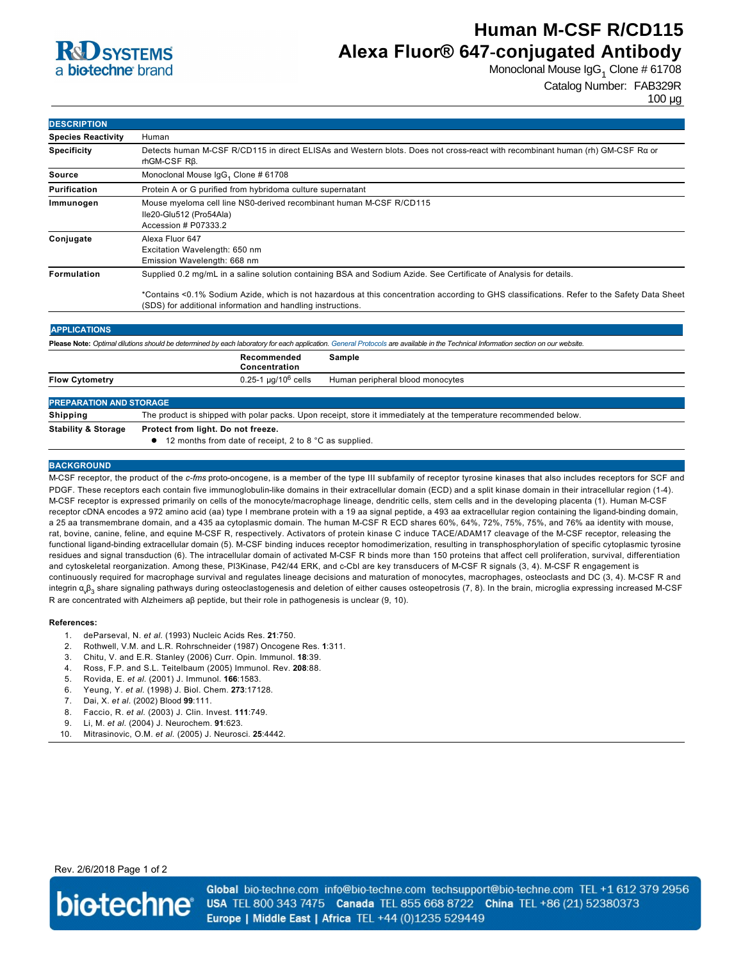

# **Human M-CSF R/CD115 Alexa Fluor® 647-conjugated Antibody**

Monoclonal Mouse IgG $_1$  Clone # 61708

Catalog Number: FAB329R

100 µg

| <b>DESCRIPTION</b>             |                                                                                                                                                                                                            |
|--------------------------------|------------------------------------------------------------------------------------------------------------------------------------------------------------------------------------------------------------|
| <b>Species Reactivity</b>      | Human                                                                                                                                                                                                      |
| <b>Specificity</b>             | Detects human M-CSF R/CD115 in direct ELISAs and Western blots. Does not cross-react with recombinant human (rh) GM-CSF Ro or<br>rhGM-CSF Rß.                                                              |
| <b>Source</b>                  | Monoclonal Mouse IgG <sub>1</sub> Clone # 61708                                                                                                                                                            |
| Purification                   | Protein A or G purified from hybridoma culture supernatant                                                                                                                                                 |
| Immunogen                      | Mouse myeloma cell line NS0-derived recombinant human M-CSF R/CD115<br>Ile20-Glu512 (Pro54Ala)<br>Accession # P07333.2                                                                                     |
| Conjugate                      | Alexa Fluor 647<br>Excitation Wavelength: 650 nm<br>Emission Wavelength: 668 nm                                                                                                                            |
| <b>Formulation</b>             | Supplied 0.2 mg/mL in a saline solution containing BSA and Sodium Azide. See Certificate of Analysis for details.                                                                                          |
|                                | *Contains <0.1% Sodium Azide, which is not hazardous at this concentration according to GHS classifications. Refer to the Safety Data Sheet<br>(SDS) for additional information and handling instructions. |
| <b>APPLICATIONS</b>            |                                                                                                                                                                                                            |
|                                | Please Note: Optimal dilutions should be determined by each laboratory for each application. General Protocols are available in the Technical Information section on our website.                          |
|                                | Recommended<br>Sample<br>Concentration                                                                                                                                                                     |
| <b>Flow Cytometry</b>          | $0.25 - 1$ µg/10 <sup>6</sup> cells<br>Human peripheral blood monocytes                                                                                                                                    |
| <b>PREPARATION AND STORAGE</b> |                                                                                                                                                                                                            |
| Shipping                       | The product is shipped with polar packs. Upon receipt, store it immediately at the temperature recommended below.                                                                                          |

**Stability & Storage Protect from light. Do not freeze.**

● 12 months from date of receipt, 2 to 8 °C as supplied.

#### **BACKGROUND**

MCSF receptor, the product of the *cfms* protooncogene, is a member of the type III subfamily of receptor tyrosine kinases that also includes receptors for SCF and PDGF. These receptors each contain five immunoglobulin-like domains in their extracellular domain (ECD) and a split kinase domain in their intracellular region (1-4). MCSF receptor is expressed primarily on cells of the monocyte/macrophage lineage, dendritic cells, stem cells and in the developing placenta (1). Human MCSF receptor cDNA encodes a 972 amino acid (aa) type I membrane protein with a 19 aa signal peptide, a 493 aa extracellular region containing the ligand-binding domain, a 25 aa transmembrane domain, and a 435 aa cytoplasmic domain. The human MCSF R ECD shares 60%, 64%, 72%, 75%, 75%, and 76% aa identity with mouse, rat, bovine, canine, feline, and equine MCSF R, respectively. Activators of protein kinase C induce TACE/ADAM17 cleavage of the MCSF receptor, releasing the functional ligand-binding extracellular domain (5). M-CSF binding induces receptor homodimerization, resulting in transphosphorylation of specific cytoplasmic tyrosine residues and signal transduction (6). The intracellular domain of activated M-CSF R binds more than 150 proteins that affect cell proliferation, survival, differentiation and cytoskeletal reorganization. Among these, PI3Kinase, P42/44 ERK, and c-Cbl are key transducers of M-CSF R signals (3, 4). M-CSF R engagement is continuously required for macrophage survival and regulates lineage decisions and maturation of monocytes, macrophages, osteoclasts and DC (3, 4). MCSF R and integrin α<sub>ν</sub>β<sub>3</sub> share signaling pathways during osteoclastogenesis and deletion of either causes osteopetrosis (7, 8). In the brain, microglia expressing increased M-CSF R are concentrated with Alzheimers aβ peptide, but their role in pathogenesis is unclear (9, 10).

#### **References:**

- 1. deParseval, N. *et al.* (1993) Nucleic Acids Res. **21**:750.
- 2. Rothwell, V.M. and L.R. Rohrschneider (1987) Oncogene Res. **1**:311.
- 3. Chitu, V. and E.R. Stanley (2006) Curr. Opin. Immunol. **18**:39.
- 4. Ross, F.P. and S.L. Teitelbaum (2005) Immunol. Rev. **208**:88.
- 5. Rovida, E. *et al.* (2001) J. Immunol. **166**:1583.
- 6. Yeung, Y. *et al.* (1998) J. Biol. Chem. **273**:17128.
- 7. Dai, X. *et al.* (2002) Blood **99**:111.
- 8. Faccio, R. *et al.* (2003) J. Clin. Invest. **111**:749.
- 9. Li, M. *et al.* (2004) J. Neurochem. **91**:623.
- 10. Mitrasinovic, O.M. *et al.* (2005) J. Neurosci. **25**:4442.

Rev. 2/6/2018 Page 1 of 2



Global bio-techne.com info@bio-techne.com techsupport@bio-techne.com TEL +1 612 379 2956 USA TEL 800 343 7475 Canada TEL 855 668 8722 China TEL +86 (21) 52380373 Europe | Middle East | Africa TEL +44 (0)1235 529449